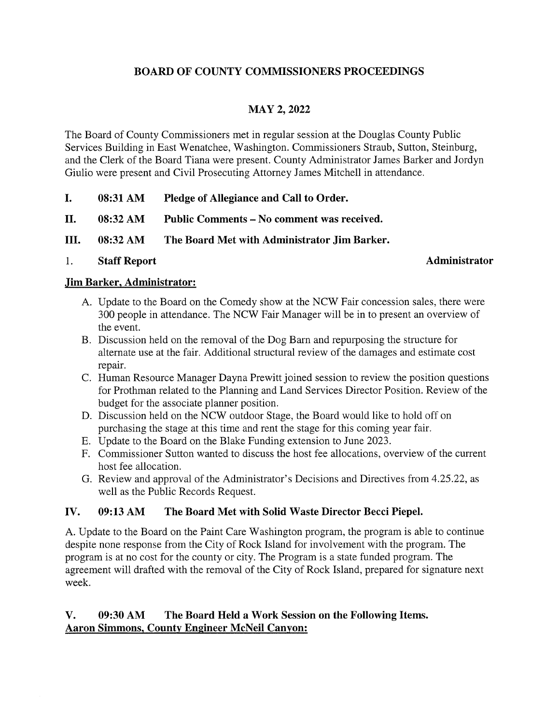## BOARD OF COUNTY COMMISSIONERS PROCEEDINGS

# MAY 2, 2022

The Board of County Commissioners met in regular session at the Douglas County Public Services Building in East Wenatchee, Washington. Commissioners Straub, Sutton, Steinburg, and the Clerk of the Board Tiana were present. County Administrator James Barker and Jordyn Giulio were present and Civil Prosecuting Attorney James Mitchell in attendance.

- I. 08:31 AM Pledge of Allegiance and Call to Order.
- II. 08:32 AM Public Comments No comment was received.
- III. 08:32 AM The Board Met with Administrator Jim Barker.
- 1. Staff Report Administrator

#### Jim Barker, Administrator:

- A. Update to the Board on the Comedy show at the NCW Fair concession sales, there were 300 people in attendance. The NCW Fair Manager will be in to present an overview of the event.
- B. Discussion held on the removal of the Dog Barn and repurposing the structure for alternate use at the fair. Additional structural review of the damages and estimate cost repair.
- C. Human Resource Manager Dayna Prewitt joined session to review the position questions for Prothman related to the Planning and Land Services Director Position. Review of the budget for the associate planner position.
- D. Discussion held on the NCW outdoor Stage, the Board would like to hold off on purchasing the stage at this time and rent the stage for this coming year fair.
- E. Update to the Board on the Blake Funding extension to June 2023.
- F. Commissioner Sutton wanted to discuss the host fee allocations, overview of the current host fee allocation.
- G. Review and approval of the Administrator's Decisions and Directives from 4.25.22, as well as the Public Records Request.

## IV. 09:13 AM The Board Met with Solid Waste Director Becci Piepel.

A. Update to the Board on the Paint Care Washington program, the program is able to continue despite none response from the City of Rock Island for involvement with the program. The program is at no cost for the county or city. The Program is <sup>a</sup> state funded program. The agreement will drafted with the removal of the City of Rock Island, prepared for signature next week.

## V. 09:30 AM The Board Held a Work Session on the Following Items. Aaron Simmons, County Engineer McNeil Canyon: